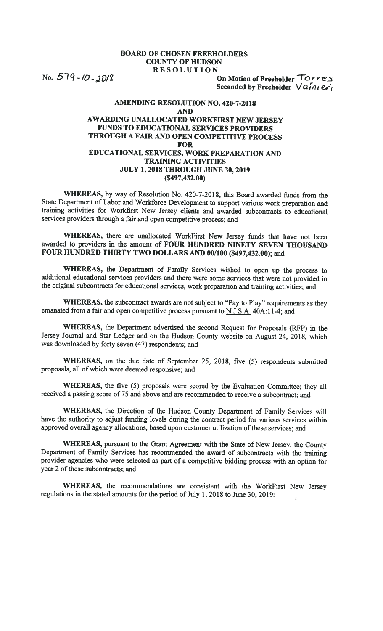## BOARD OF CHOSEN FREEHOLDERS COUNTY OF HUDSON RESOLUTION

No.  $579 - 10 - 2018$  On Motion of Freeholder  $T$ orres Seconded by Freeholder  $\sqrt{a} \hat{i} n_l e r_l$ 

## AMENDiNG RESOLUTION NO. 420-7-2018 AND AWARDING UNALLOCATED WORKFIRST NEW JERSEY FUNDS TO EDUCATIONAL SERVICES PROVIDERS THROUGH A FAIR AND OPEN COMPETITIVE PROCESS FOR EDUCATIONAL SERVICES, WORK PREPARATION AND TRAINING ACTIVITIES JULY 1, 2018 THROUGH JUNE 30, 2019 (\$497,432.00)

WHEREAS, by way of Resolution No. 420-7-2018, this Board awarded funds from the State Department of Labor and Workforce Development to support various work preparation and training activities for Workfirst New Jersey clients and awarded subcontracts to educational services providers through a fair and open competitive process; and

WHEREAS, there are unallocated WorkFirst New Jersey funds that have not been awarded to providers in the amount of FOUR HUNDRED NiNETY SEVEN THOUSAND FOUR HUNDRED THIRTY TWO DOLLARS AND 00/100 (\$497,432.00); and

WHEREAS, the Department of Family Services wished to open up the process to additional educational services providers and there were some services that were not provided in the original subcontracts for educational services, work preparation and training activities; and

WHEREAS, the subcontract awards are not subject to "Pay to Play" requirements as they emanated from a fair and open competitive process pursuant to N.J.S,A. 40A:11-4; and

WHEREAS, the Department advertised the second Request for Proposals (RFP) in the Jersey Journal and Star Ledger and on the Hudson County website on August 24, 2018, which was downloaded by forty seven (47) respondents; and

WHEREAS, on the due date of September 25, 2018, five (5) respondents submitted proposals, all of which were deemed responsive; and

WHEREAS, the five (5) proposals were scored by the Evaluation Committee; they all received a passing score of 75 and above and are recommended to receive a subcontract; and

WHEREAS, the Direction of the Hudson County Department of Family Services will have the authority to adjust funding levels during the contract period for various services within approved overall agency allocations, based upon customer utilization of these services; and

WHEREAS, pursuant to the Grant Agreement with the State of New Jersey, the County Department of Family Services has recommended the award of subcontracts with the training provider agencies who were selected as part of a competitive bidding process with an option for year 2 of these subcontracts; and

WHEREAS, the recommendations are consistent with the WorkFirst New Jersey regulations in the stated amounts for the period of July 1, 2018 to June 30, 2019: